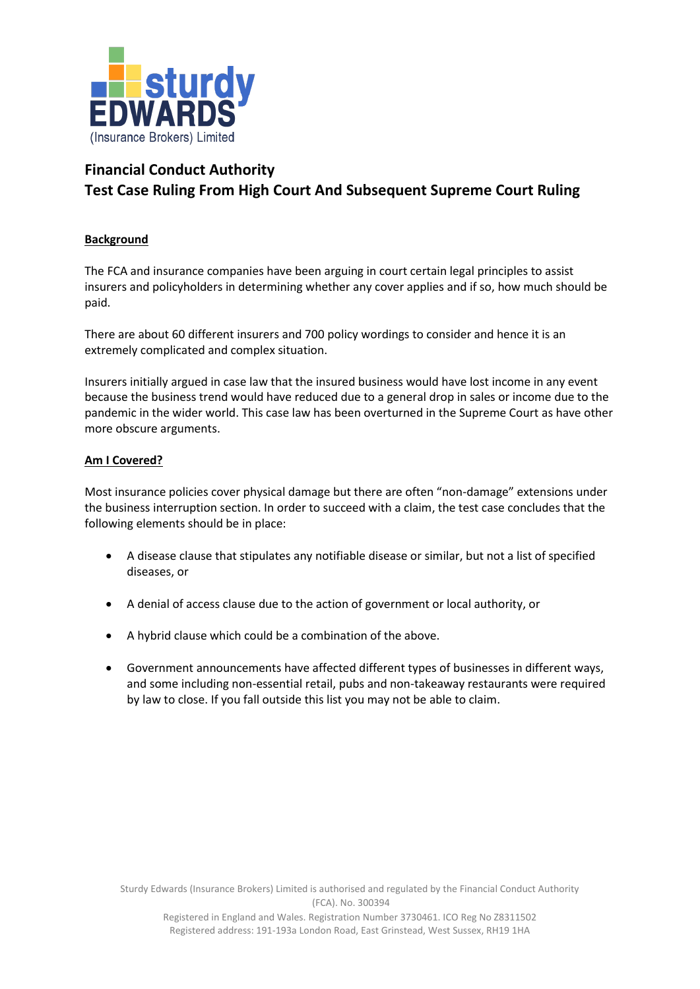

## **Financial Conduct Authority Test Case Ruling From High Court And Subsequent Supreme Court Ruling**

## **Background**

The FCA and insurance companies have been arguing in court certain legal principles to assist insurers and policyholders in determining whether any cover applies and if so, how much should be paid.

There are about 60 different insurers and 700 policy wordings to consider and hence it is an extremely complicated and complex situation.

Insurers initially argued in case law that the insured business would have lost income in any event because the business trend would have reduced due to a general drop in sales or income due to the pandemic in the wider world. This case law has been overturned in the Supreme Court as have other more obscure arguments.

## **Am I Covered?**

Most insurance policies cover physical damage but there are often "non-damage" extensions under the business interruption section. In order to succeed with a claim, the test case concludes that the following elements should be in place:

- A disease clause that stipulates any notifiable disease or similar, but not a list of specified diseases, or
- A denial of access clause due to the action of government or local authority, or
- A hybrid clause which could be a combination of the above.
- Government announcements have affected different types of businesses in different ways, and some including non-essential retail, pubs and non-takeaway restaurants were required by law to close. If you fall outside this list you may not be able to claim.